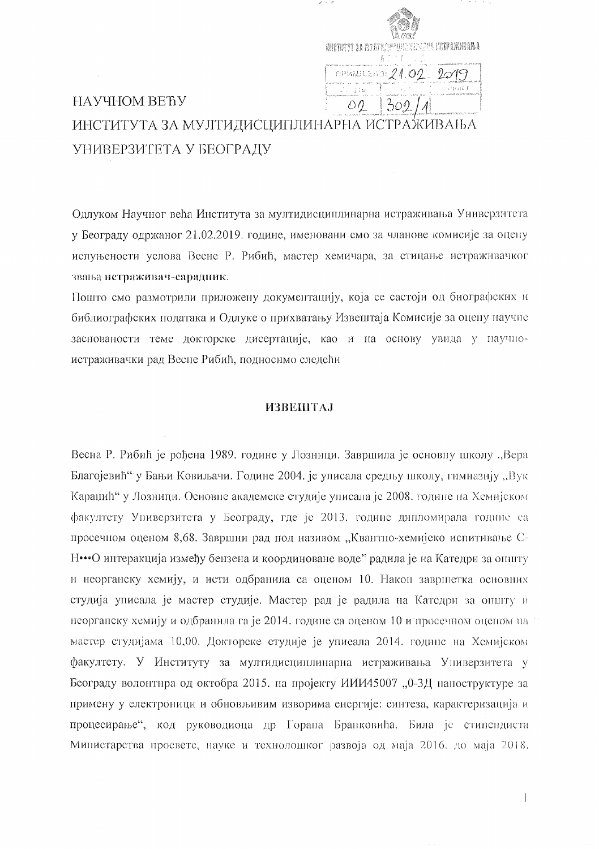|        | WINTER YT DA HYFRE APPROXICA AR HETPANWARA<br>名下下于 |
|--------|----------------------------------------------------|
|        | $n$ PMMJLEND: 21.02                                |
| 1 l 11 | へいれれてず                                             |
|        |                                                    |
|        |                                                    |

# НАУЧНОМ ВЕЋУ ИНСТИТУТА ЗА МУЛТИДИСЦИПЛИНАРНА ИСТРАЖИВАЊА УНИВЕРЗИТЕТА У БЕОГРАДУ

Одлуком Научног већа Института за мултидисциплинарна истраживања Универзитета у Београду одржаног 21.02.2019. године, именовани смо за чланове комисије за оцену испуњености услова Весне Р. Рибић, мастер хемичара, за стицање истраживачког звања истраживач-сарадник.

Пошто смо размотрили приложену документацију, која се састоји од биографских и библиографских података и Одлуке о прихватању Извештаја Комисије за оцену научне заснованости теме докторске дисертације, као и на основу увида у научноистраживачки рад Весне Рибић, подносимо следећи

# **ИЗВЕШТАЈ**

Весна Р. Рибић је рођена 1989. године у Лозници. Завршила је основну школу "Вера Благојевић" у Бањи Ковиљачи. Године 2004. је уписала средњу школу, гимназију "Вук Караџић" у Лозници. Основне академске студије уписала је 2008. године на Хемијском факултету Универзитета у Београду, где је 2013. године дипломирала године са просечном оценом 8,68. Завршии рад под називом "Квантно-хемијско испитивање С-Н•••О интеракција између бензена и координоване воде" радила је на Катедри за општу и неорганску хемију, и исти одбранила са оценом 10. Након завршетка основних студија уписала је мастер студије. Мастер рад је радила на Катедри за општу и неорганску хемију и одбранила га је 2014. године са оценом 10 и просечном оценом на мастер студијама 10,00. Докторске студије је уписала 2014. године на Хемијском факултету. У Институту за мултидисциплинарна истраживања Универзитета у Београду волонтира од октобра 2015. на пројекту ИИИ45007 "0-3Д наноструктуре за примену у електроници и обновљивим изворима енергије: синтеза, карактеризација и процесирање", код руководиоца др Горана Бранковића. Била је стипендиста Министарства просветс, науке и технолошког развоја од маја 2016. до маја 2018.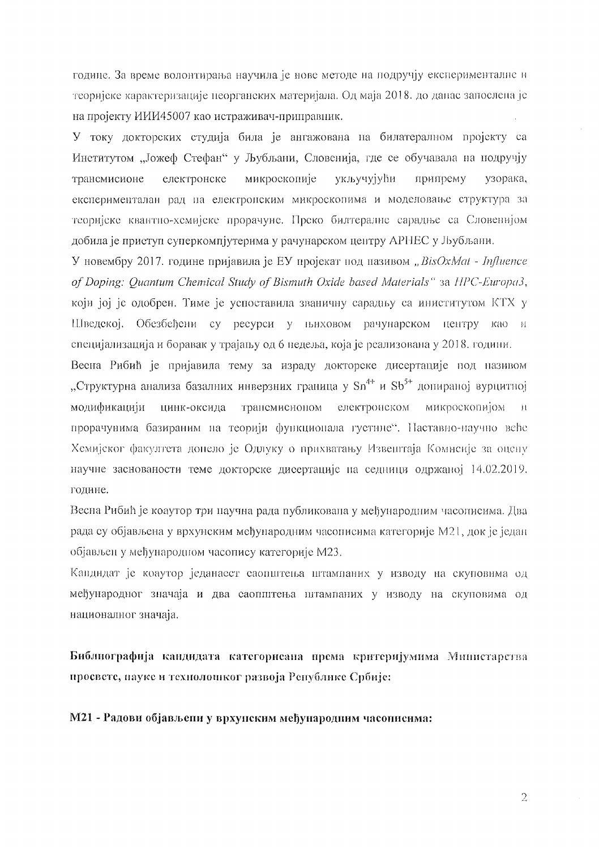године. За време волонтирања научила је нове методе на подручју експерименталне и теоријске карактеризације пеорганских материјала. Од маја 2018. до дапас запослена је на пројекту ИИИ45007 као истраживач-приправник.

У току докторских студија била је ангажована на билатералном пројекту са Институтом "Јожеф Стефан" у Љубљани, Словенија, где се обучавала на подручју микроскопије трансмисионе електронске укључујући припрему узорака, експерименталан рад на електронским микроскопима и моделовање структура за теоријске квантно-хемијске прорачуне. Преко билтералне сарадње са Словенијом добила је приступ суперкомпјутерима у рачунарском центру АРНЕС у Љубљани.

У новембру 2017. године пријавила је ЕУ пројекат под називом "BisOxMat - Influence of Doping: Quantum Chemical Study of Bismuth Oxide based Materials" 3a HPC-Europa3, који јој је одобрен. Тиме је успоставила званичну сарадњу са иниститутом КТХ у Шведској. Обезбеђени су ресурси у њиховом рачунарском центру као и специјализација и боравак у трајању од 6 недеља, која је реализована у 2018. години.

Весна Рибић је пријавила тему за израду докторске дисертације под називом "Структурна анализа базалних инверзних граница у Sn<sup>4+</sup> и Sb<sup>5+</sup> допираној вурцитној модификацији цинк-оксида трансмисионом електронском микроскопијом  $\rightarrow$  11 прорачувима базираним на теорији функционала густине". Наставно-научно веће Хемијског факултета допело је Одлуку о прихватању Извештаја Комисије за оцену научие заснованости теме докторске дисертације на седници одржаној 14.02.2019. године.

Весна Рибић је коаутор три паучна рада публиковала у међународним часописима. Два рада су објављена у врхунским међународним часописима категорије М21, док је један објављен у међународном часопису категорије М23.

Кандидат је коаутор једанаест саопштења штампаних у изводу на скуповима од међународног значаја и два саоппитења штампаних у изводу на скуповима од националног значаја.

Библиографија кандидата категорисана према критеријумима Министарства просвете, науке и технолошког развоја Републике Србије:

М21 - Радови објављени у врхунским међународним часописима:

 $\mathfrak{D}$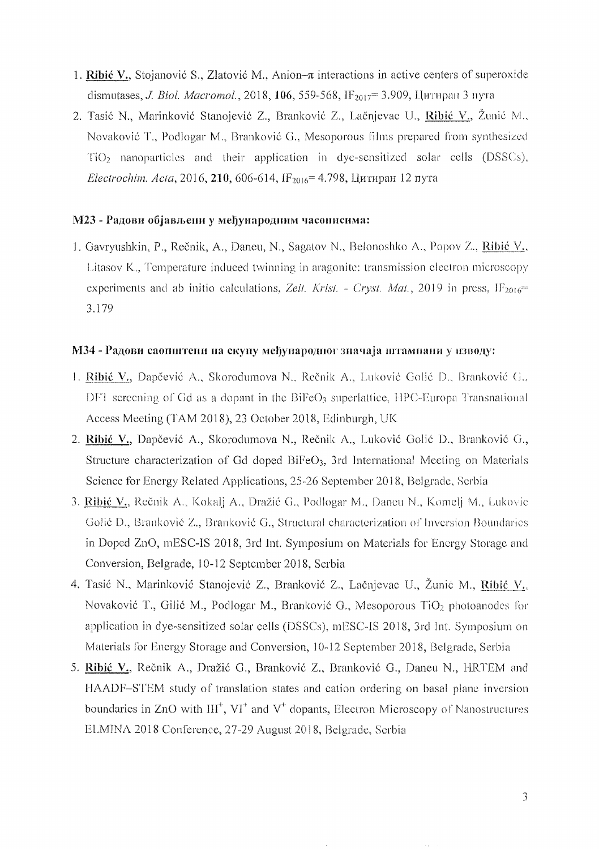- 1. Ribić V., Stojanović S., Zlatović M., Anion- $\pi$  interactions in active centers of superoxide dismutases, *J. Biol. Macromol.*, 2018, 106, 559-568, IF<sub>2017</sub> = 3.909, Цитиран 3 пута
- 2. Tasić N., Marinković Stanojević Z., Branković Z., Lačnjevac U., Ribić V., Žunić M., Novaković T., Podlogar M., Branković G., Mesoporous films prepared from synthesized  $TiO<sub>2</sub>$  nanoparticles and their application in dye-sensitized solar cells (DSSCs), Electrochim. Acta, 2016, 210, 606-614, IF<sub>2016</sub> = 4.798, Цитиран 12 пута

### М23 - Радови објављени у међународним часописима:

1. Gavryushkin, P., Rečnik, A., Daneu, N., Sagatov N., Belonoshko A., Popov Z., Ribić V., Litasov K., Temperature induced twinning in aragonite: transmission electron microscopy experiments and ab initio calculations, Zeit. Krist. - Cryst. Mat., 2019 in press,  $IF<sub>2016</sub>$ 3.179

## МЗ4 - Радови саопштени на скупу међународног значаја штампани у изводу:

- 1. Ribić V., Dapčević A., Skorodumova N., Rečnik A., Luković Golić D., Branković G., DFT sereening of Gd as a dopant in the  $BiFeO<sub>3</sub>$  superlattice, HPC-Europa Transnational Access Meeting (TAM 2018), 23 October 2018, Edinburgh, UK
- 2. Ribié V., Dapčević A., Skorodumova N., Rečnik A., Luković Golić D., Branković G., Structure characterization of Gd doped BiFeO<sub>3</sub>, 3rd International Meeting on Materials Science for Energy Related Applications, 25-26 September 2018, Belgrade, Serbia
- 3. Ribić V., Rečnik A., Kokalj A., Dražić G., Podlogar M., Daneu N., Komelj M., Lukovic Golié D., Brankovié Z., Brankovié G., Structural characterization of Inversion Boundaries in Doped ZnO, mESC-IS 2018, 3rd Int. Symposium on Materials for Energy Storage and Conversion, Belgrade, 10-12 September 2018, Serbia
- 4. Tasić N., Marinković Stanojević Z., Branković Z., Lačnjevac U., Žunić M., Ribić V., Novaković T., Gilić M., Podlogar M., Branković G., Mesoporous TiO<sub>2</sub> photoanodes for application in dye-sensitized solar cells (DSSCs), mESC-IS 2018, 3rd Int. Symposium on Materials for Energy Storage and Conversion, 10-12 September 2018, Belgrade, Serbia
- 5. Ribić V., Rečnik A., Dražić G., Branković Z., Branković G., Daneu N., HRTEM and HAADF-STEM study of translation states and cation ordering on basal plane inversion boundaries in ZnO with  $III^+$ ,  $VI^+$  and  $V^+$  dopants, Electron Microscopy of Nanostructures ELMINA 2018 Conference, 27-29 August 2018, Belgrade, Serbia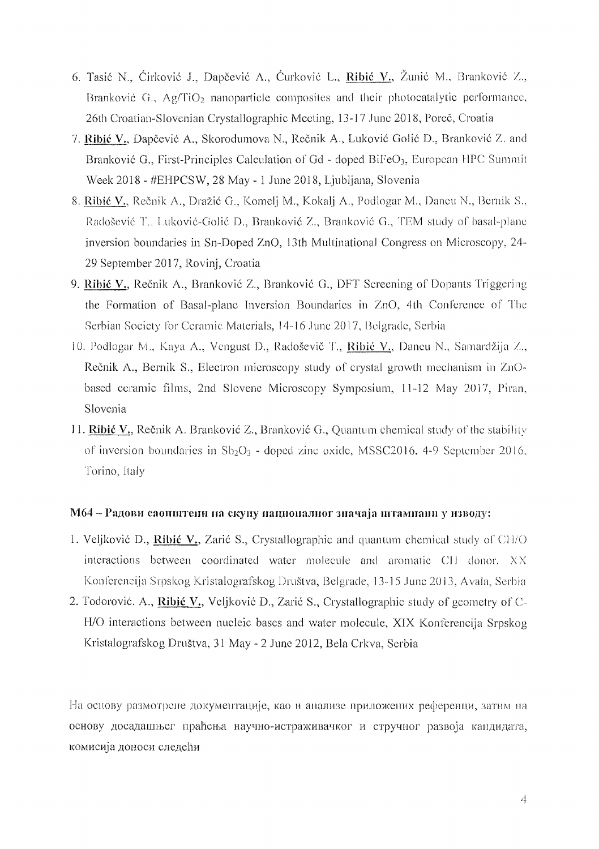- 6. Tasi6 N., Cirkovi6 1, Dapcevi6 A, Curkovi6 L., **Ribit** V., Zuni6 M., 131'allkovi6 *L,*  Branković G.,  $\Delta g/TiO<sub>2</sub>$  nanoparticle composites and their photocatalytic performance. 26th Croatian-Slovenian Crystallographic Meeting, 13-17 June 2018, Poreč, Croatia
- 7. **Ribić V.,** Dapčević A., Skorodumova N., Rečnik A., Luković Golić D., Branković Z. and Branković G., First-Principles Calculation of Gd - doped BiFeO<sub>3</sub>, European HPC Summit Week 2018 - #EHPCSW, 28 May - 1 June 2018, Ljubljana, Slovenia
- 8. Ribić V., Rečnik A., Dražić G., Komelj M., Kokalj A., Podlogar M., Daneu N., Bernik S., Radošević T., Luković-Golić D., Branković Z., Branković G., TEM study of basal-plane inversion boundaries in Sn-Doped ZnO, 13th Multinational Congress on Microscopy, 24 29 September 2017, Rovinj, Croatia
- 9. Ribić V., Rečnik A., Branković Z., Branković G., DFT Screening of Dopants Triggering the Formation of Basal-plane Inversion Boundaries in ZnO, 4th Conference of The Serbian Society for Ceramic Materials, 14-16 June 2017, Belgrade, Serbia
- 10. Podlogar M., Kaya A., Vengust D., Radoševič T., Ribić V., Daneu N., Samardžija Z., Rečnik A., Bernik S., Electron microscopy study of crystal growth mechanism in ZnObased ceramic films, 2nd Slovene Microscopy Symposium, 11-12 May 2017, Piran, Slovenia
- 11. **Ribić V.**, Rečnik A. Branković Z., Branković G., Quantum chemical study of the stability of inversion boundaries in  $Sb<sub>2</sub>O<sub>3</sub>$  - doped zinc oxide, MSSC2016, 4-9 September 2016. Torino, Italy

## $M64 - Pa$ дови саопштени на скупу националног значаја штамнани у изводу:

- 1. Veljković D., Ribić V., Zarić S., Crystallographic and quantum chemical study of CH/O  $interactions$  between coordinated water molecule and aromatic CH donor.  $XX$ Konferencija Srpskog Kristalografskog Društva, Belgrade, 13-15 June 2013, Avala, Serbia
- 2. Todorović. A., Ribić V., Veljković D., Zarić S., Crystallographic study of geometry of C-HIO interactions between nucleic bascs and water molecule, XIX Konfereneija Srpskog Kristalografskog Drustva, 31 May - 2 June 2012, Bela Crkva, Serbia

На основу размотрене документације, као и анализе приложених референци, затим на основу досадашњег праћења научно-истраживачког и стручног развоја кандидата, комисија доноси следећи